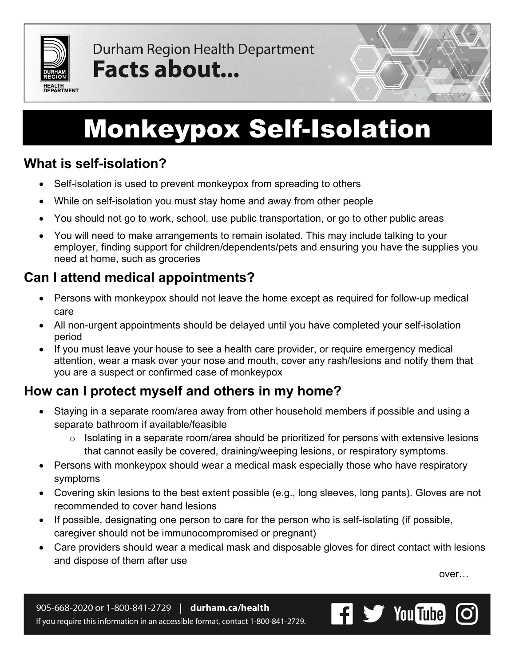

Durham Region Health Department Facts about...

## Monkeypox Self-Isolation

## **What is self-isolation?**

- Self-isolation is used to prevent monkeypox from spreading to others
- While on self-isolation you must stay home and away from other people
- You should not go to work, school, use public transportation, or go to other public areas
- You will need to make arrangements to remain isolated. This may include talking to your employer, finding support for children/dependents/pets and ensuring you have the supplies you need at home, such as groceries

## **Can I attend medical appointments?**

- Persons with monkeypox should not leave the home except as required for follow-up medical care
- All non-urgent appointments should be delayed until you have completed your self-isolation period
- If you must leave your house to see a health care provider, or require emergency medical attention, wear a mask over your nose and mouth, cover any rash/lesions and notify them that you are a suspect or confirmed case of monkeypox

## **How can I protect myself and others in my home?**

- Staying in a separate room/area away from other household members if possible and using a separate bathroom if available/feasible
	- o Isolating in a separate room/area should be prioritized for persons with extensive lesions that cannot easily be covered, draining/weeping lesions, or respiratory symptoms.
- Persons with monkeypox should wear a medical mask especially those who have respiratory symptoms
- Covering skin lesions to the best extent possible (e.g., long sleeves, long pants). Gloves are not recommended to cover hand lesions
- If possible, designating one person to care for the person who is self-isolating (if possible, caregiver should not be immunocompromised or pregnant)
- Care providers should wear a medical mask and disposable gloves for direct contact with lesions and dispose of them after use

over…